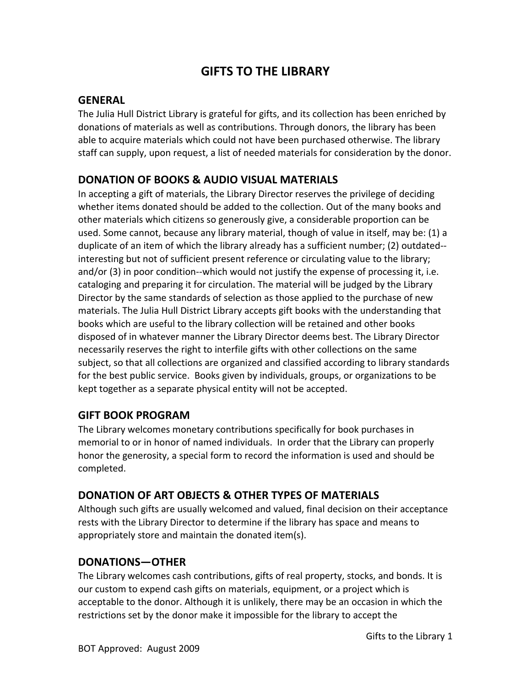# **GIFTS TO THE LIBRARY**

#### **GENERAL**

The Julia Hull District Library is grateful for gifts, and its collection has been enriched by donations of materials as well as contributions. Through donors, the library has been able to acquire materials which could not have been purchased otherwise. The library staff can supply, upon request, a list of needed materials for consideration by the donor.

## **DONATION OF BOOKS & AUDIO VISUAL MATERIALS**

In accepting a gift of materials, the Library Director reserves the privilege of deciding whether items donated should be added to the collection. Out of the many books and other materials which citizens so generously give, a considerable proportion can be used. Some cannot, because any library material, though of value in itself, may be: (1) a duplicate of an item of which the library already has a sufficient number; (2) outdated- interesting but not of sufficient present reference or circulating value to the library; and/or (3) in poor condition--which would not justify the expense of processing it, i.e. cataloging and preparing it for circulation. The material will be judged by the Library Director by the same standards of selection as those applied to the purchase of new materials. The Julia Hull District Library accepts gift books with the understanding that books which are useful to the library collection will be retained and other books disposed of in whatever manner the Library Director deems best. The Library Director necessarily reserves the right to interfile gifts with other collections on the same subject, so that all collections are organized and classified according to library standards for the best public service. Books given by individuals, groups, or organizations to be kept together as a separate physical entity will not be accepted.

#### **GIFT BOOK PROGRAM**

The Library welcomes monetary contributions specifically for book purchases in memorial to or in honor of named individuals. In order that the Library can properly honor the generosity, a special form to record the information is used and should be completed.

#### **DONATION OF ART OBJECTS & OTHER TYPES OF MATERIALS**

Although such gifts are usually welcomed and valued, final decision on their acceptance rests with the Library Director to determine if the library has space and means to appropriately store and maintain the donated item(s).

#### **DONATIONS—OTHER**

The Library welcomes cash contributions, gifts of real property, stocks, and bonds. It is our custom to expend cash gifts on materials, equipment, or a project which is acceptable to the donor. Although it is unlikely, there may be an occasion in which the restrictions set by the donor make it impossible for the library to accept the